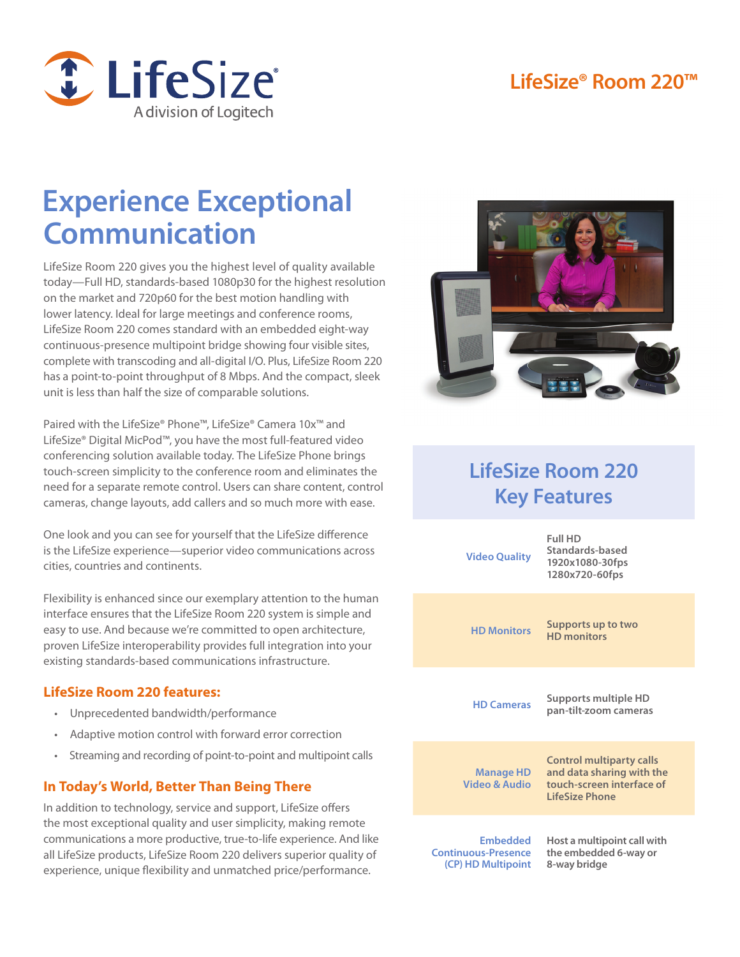### **LifeSize® Room 220™**



# **Experience Exceptional Communication**

LifeSize Room 220 gives you the highest level of quality available today—Full HD, standards-based 1080p30 for the highest resolution on the market and 720p60 for the best motion handling with lower latency. Ideal for large meetings and conference rooms, LifeSize Room 220 comes standard with an embedded eight-way continuous-presence multipoint bridge showing four visible sites, complete with transcoding and all-digital I/O. Plus, LifeSize Room 220 has a point-to-point throughput of 8 Mbps. And the compact, sleek unit is less than half the size of comparable solutions.

Paired with the LifeSize® Phone™, LifeSize® Camera 10x™ and LifeSize® Digital MicPod™, you have the most full-featured video conferencing solution available today. The LifeSize Phone brings touch-screen simplicity to the conference room and eliminates the need for a separate remote control. Users can share content, control cameras, change layouts, add callers and so much more with ease.

One look and you can see for yourself that the LifeSize difference is the LifeSize experience—superior video communications across cities, countries and continents.

Flexibility is enhanced since our exemplary attention to the human interface ensures that the LifeSize Room 220 system is simple and easy to use. And because we're committed to open architecture, proven LifeSize interoperability provides full integration into your existing standards-based communications infrastructure.

#### **LifeSize Room 220 features:**

- Unprecedented bandwidth/performance
- Adaptive motion control with forward error correction
- Streaming and recording of point-to-point and multipoint calls

### **In Today's World, Better Than Being There**

In addition to technology, service and support, LifeSize offers the most exceptional quality and user simplicity, making remote communications a more productive, true-to-life experience. And like all LifeSize products, LifeSize Room 220 delivers superior quality of experience, unique flexibility and unmatched price/performance.



## **LifeSize Room 220 Key Features**

| <b>Video Quality</b>                                                | Full HD<br>Standards-based<br>1920x1080-30fps<br>1280x720-60fps                                             |
|---------------------------------------------------------------------|-------------------------------------------------------------------------------------------------------------|
| <b>HD Monitors</b>                                                  | Supports up to two<br><b>HD</b> monitors                                                                    |
| <b>HD Cameras</b>                                                   | Supports multiple HD<br>pan-tilt-zoom cameras                                                               |
| Manage HD<br>Video & Audio                                          | <b>Control multiparty calls</b><br>and data sharing with the<br>touch-screen interface of<br>LifeSize Phone |
| <b>Embedded</b><br><b>Continuous-Presence</b><br>(CP) HD Multipoint | Host a multipoint call with<br>the embedded 6-way or<br>8-way bridge                                        |